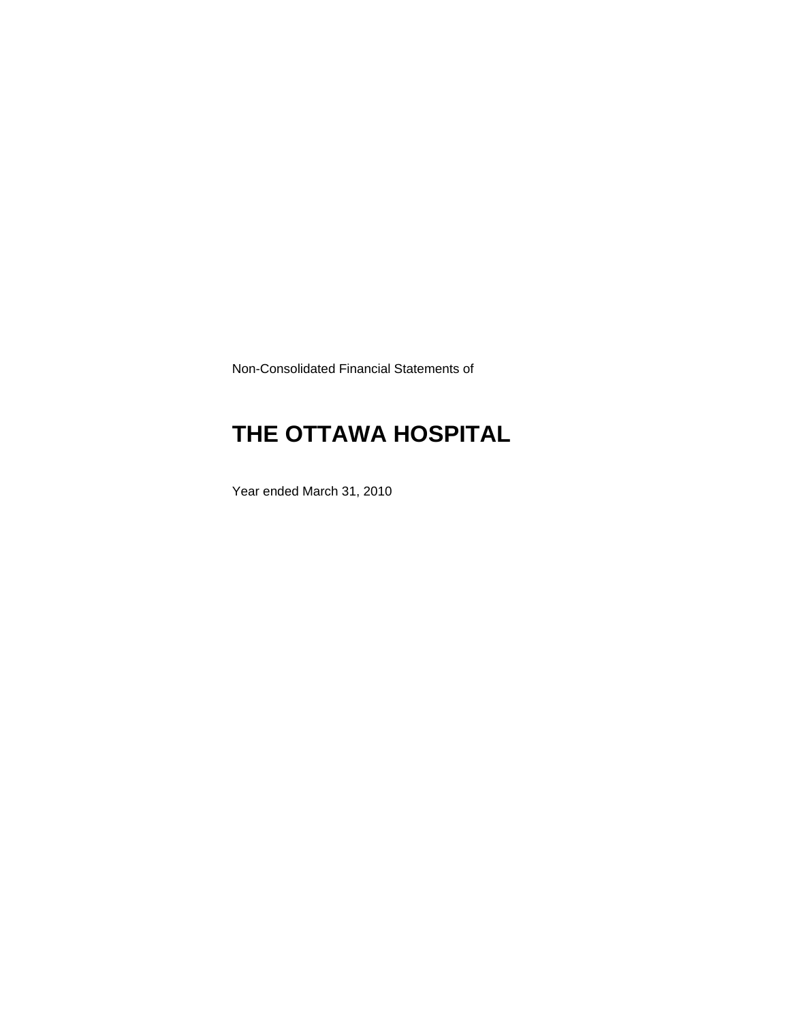Non-Consolidated Financial Statements of

# **THE OTTAWA HOSPITAL**

Year ended March 31, 2010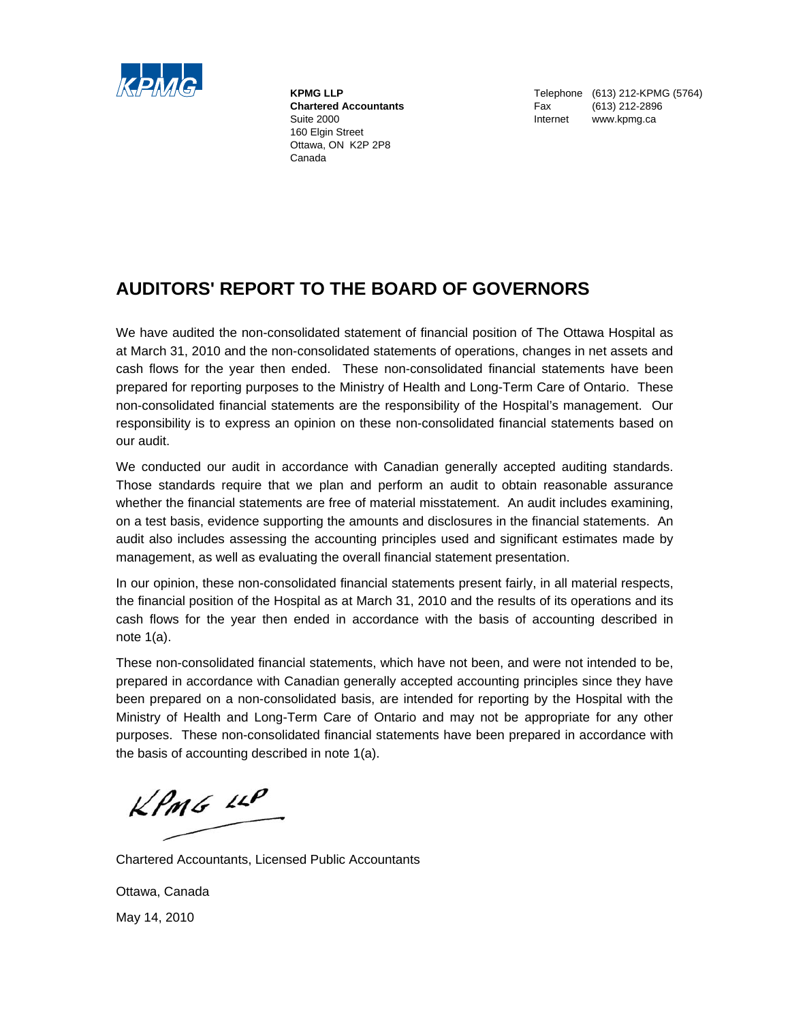

 160 Elgin Street Ottawa, ON K2P 2P8 Canada

**KPMG LLP** Telephone (613) 212-KPMG (5764)  **Chartered Accountants** Fax (613) 212-2896 Suite 2000 **Internet WWW.kpmg.ca** 

### **AUDITORS' REPORT TO THE BOARD OF GOVERNORS**

We have audited the non-consolidated statement of financial position of The Ottawa Hospital as at March 31, 2010 and the non-consolidated statements of operations, changes in net assets and cash flows for the year then ended. These non-consolidated financial statements have been prepared for reporting purposes to the Ministry of Health and Long-Term Care of Ontario. These non-consolidated financial statements are the responsibility of the Hospital's management. Our responsibility is to express an opinion on these non-consolidated financial statements based on our audit.

We conducted our audit in accordance with Canadian generally accepted auditing standards. Those standards require that we plan and perform an audit to obtain reasonable assurance whether the financial statements are free of material misstatement. An audit includes examining, on a test basis, evidence supporting the amounts and disclosures in the financial statements. An audit also includes assessing the accounting principles used and significant estimates made by management, as well as evaluating the overall financial statement presentation.

In our opinion, these non-consolidated financial statements present fairly, in all material respects, the financial position of the Hospital as at March 31, 2010 and the results of its operations and its cash flows for the year then ended in accordance with the basis of accounting described in note 1(a).

These non-consolidated financial statements, which have not been, and were not intended to be, prepared in accordance with Canadian generally accepted accounting principles since they have been prepared on a non-consolidated basis, are intended for reporting by the Hospital with the Ministry of Health and Long-Term Care of Ontario and may not be appropriate for any other purposes. These non-consolidated financial statements have been prepared in accordance with the basis of accounting described in note 1(a).

 $KPMS$  11P

Chartered Accountants, Licensed Public Accountants

Ottawa, Canada May 14, 2010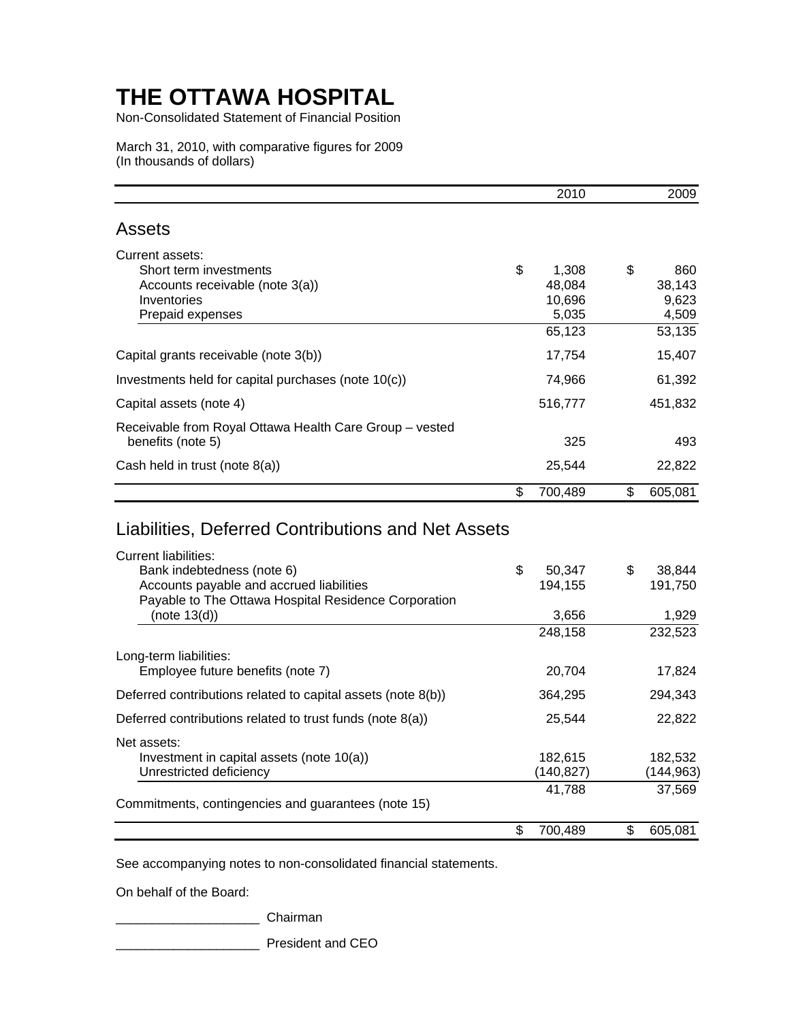Non-Consolidated Statement of Financial Position

March 31, 2010, with comparative figures for 2009 (In thousands of dollars)

|                                                                                                                 | 2010                                               | 2009                                            |
|-----------------------------------------------------------------------------------------------------------------|----------------------------------------------------|-------------------------------------------------|
| <b>Assets</b>                                                                                                   |                                                    |                                                 |
| Current assets:<br>Short term investments<br>Accounts receivable (note 3(a))<br>Inventories<br>Prepaid expenses | \$<br>1,308<br>48.084<br>10,696<br>5,035<br>65,123 | \$<br>860<br>38,143<br>9,623<br>4,509<br>53,135 |
| Capital grants receivable (note 3(b))                                                                           | 17,754                                             | 15,407                                          |
| Investments held for capital purchases (note 10(c))                                                             | 74,966                                             | 61,392                                          |
| Capital assets (note 4)                                                                                         | 516,777                                            | 451,832                                         |
| Receivable from Royal Ottawa Health Care Group - vested<br>benefits (note 5)                                    | 325                                                | 493                                             |
| Cash held in trust (note 8(a))                                                                                  | 25,544                                             | 22,822                                          |
|                                                                                                                 | \$<br>700,489                                      | \$<br>605,081                                   |

### Liabilities, Deferred Contributions and Net Assets

| \$<br>50,347  | \$ | 38,844    |
|---------------|----|-----------|
| 194,155       |    | 191,750   |
|               |    |           |
| 3,656         |    | 1,929     |
| 248,158       |    | 232,523   |
|               |    |           |
| 20.704        |    | 17,824    |
| 364,295       |    | 294,343   |
| 25,544        |    | 22,822    |
|               |    |           |
| 182,615       |    | 182,532   |
| (140,827)     |    | (144,963) |
| 41,788        |    | 37,569    |
|               |    |           |
| \$<br>700,489 | S  | 605,081   |
|               |    |           |

See accompanying notes to non-consolidated financial statements.

On behalf of the Board:

\_\_\_\_\_\_\_\_\_\_\_\_\_\_\_\_\_\_\_\_ Chairman

\_\_\_\_\_\_\_\_\_\_\_\_\_\_\_\_\_\_\_\_ President and CEO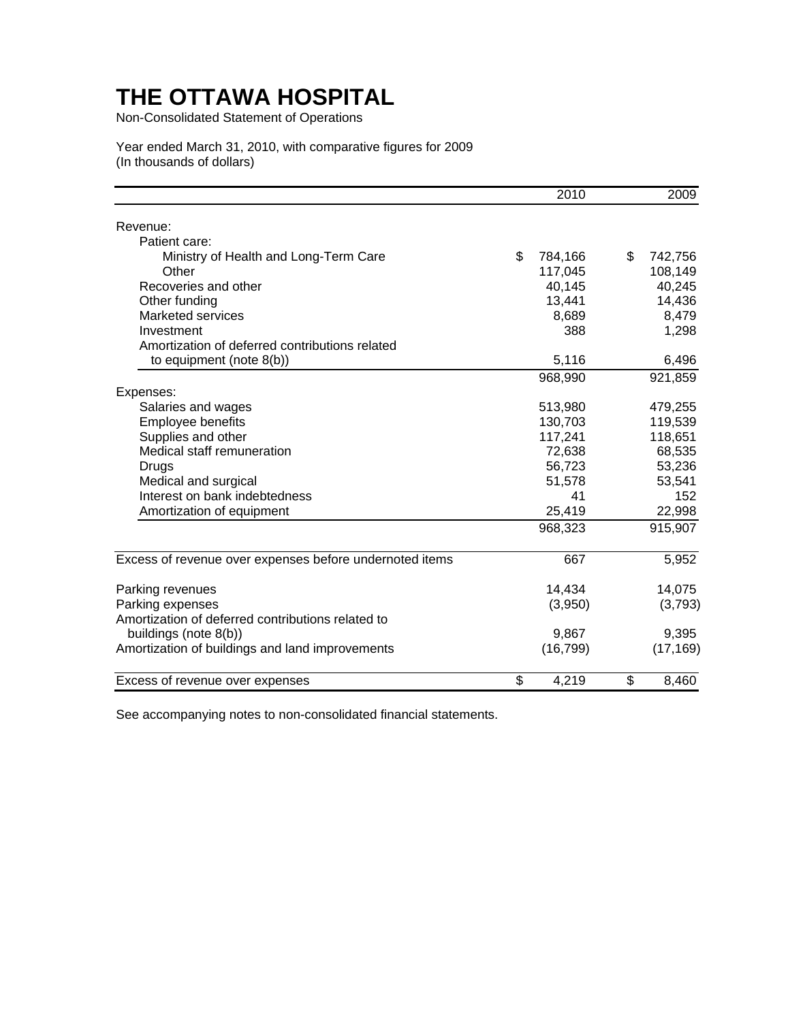Non-Consolidated Statement of Operations

Year ended March 31, 2010, with comparative figures for 2009 (In thousands of dollars)

|                                                         | 2010          | 2009          |
|---------------------------------------------------------|---------------|---------------|
| Revenue:                                                |               |               |
| Patient care:                                           |               |               |
| Ministry of Health and Long-Term Care                   | \$<br>784,166 | \$<br>742,756 |
| Other                                                   | 117,045       | 108,149       |
| Recoveries and other                                    | 40,145        | 40,245        |
| Other funding                                           | 13,441        | 14,436        |
| Marketed services                                       | 8,689         | 8,479         |
| Investment                                              | 388           | 1,298         |
| Amortization of deferred contributions related          |               |               |
| to equipment (note $8(b)$ )                             | 5,116         | 6,496         |
|                                                         | 968,990       | 921,859       |
| Expenses:                                               |               |               |
| Salaries and wages                                      | 513,980       | 479,255       |
| Employee benefits                                       | 130,703       | 119,539       |
| Supplies and other                                      | 117,241       | 118,651       |
| Medical staff remuneration                              | 72,638        | 68,535        |
| Drugs                                                   | 56,723        | 53,236        |
| Medical and surgical                                    | 51,578        | 53,541        |
| Interest on bank indebtedness                           | 41            | 152           |
| Amortization of equipment                               | 25,419        | 22,998        |
|                                                         | 968,323       | 915,907       |
| Excess of revenue over expenses before undernoted items | 667           | 5,952         |
| Parking revenues                                        | 14,434        | 14,075        |
| Parking expenses                                        | (3,950)       | (3,793)       |
| Amortization of deferred contributions related to       |               |               |
| buildings (note 8(b))                                   | 9,867         | 9,395         |
| Amortization of buildings and land improvements         | (16, 799)     | (17, 169)     |
|                                                         |               |               |
| Excess of revenue over expenses                         | \$<br>4,219   | \$<br>8,460   |

See accompanying notes to non-consolidated financial statements.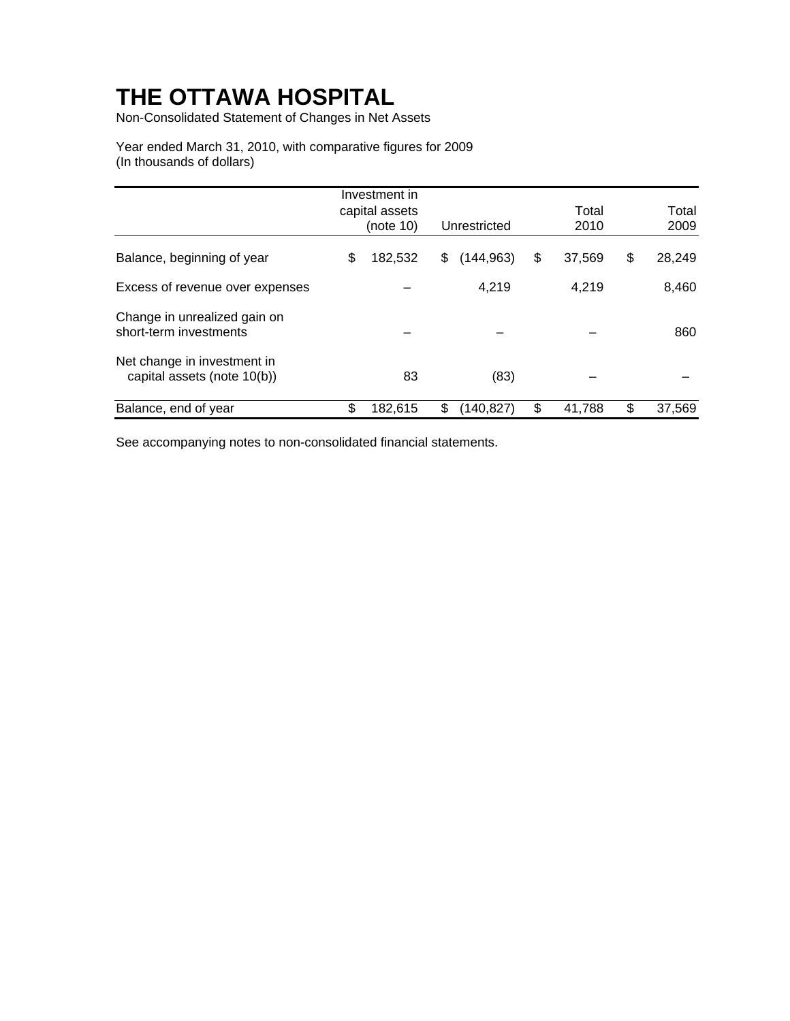Non-Consolidated Statement of Changes in Net Assets

Year ended March 31, 2010, with comparative figures for 2009 (In thousands of dollars)

|                                                            | Investment in               |                  |               |               |
|------------------------------------------------------------|-----------------------------|------------------|---------------|---------------|
|                                                            | capital assets<br>(note 10) | Unrestricted     | Total<br>2010 | Total<br>2009 |
| Balance, beginning of year                                 | \$<br>182,532               | \$<br>(144,963)  | \$<br>37,569  | \$<br>28,249  |
| Excess of revenue over expenses                            |                             | 4,219            | 4,219         | 8,460         |
| Change in unrealized gain on<br>short-term investments     |                             |                  |               | 860           |
| Net change in investment in<br>capital assets (note 10(b)) | 83                          | (83)             |               |               |
| Balance, end of year                                       | \$<br>182,615               | \$<br>(140, 827) | \$<br>41,788  | \$<br>37,569  |

See accompanying notes to non-consolidated financial statements.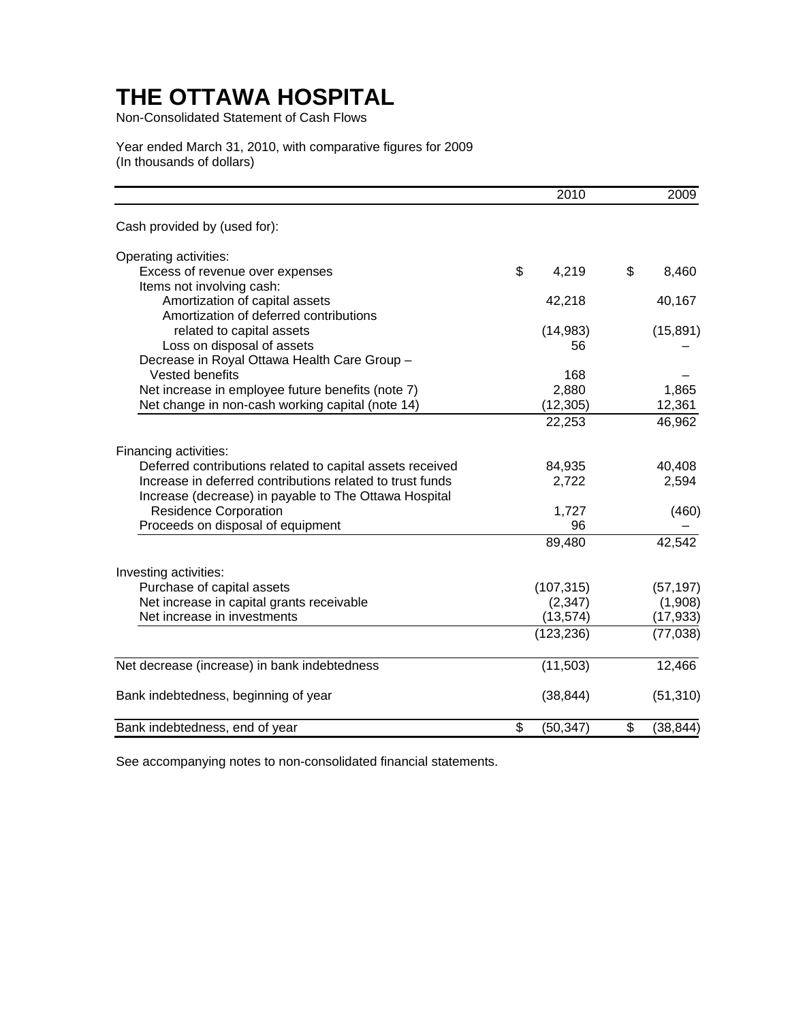Non-Consolidated Statement of Cash Flows

### Year ended March 31, 2010, with comparative figures for 2009 (In thousands of dollars)

|                                                           | 2010            | 2009            |
|-----------------------------------------------------------|-----------------|-----------------|
| Cash provided by (used for):                              |                 |                 |
| Operating activities:                                     |                 |                 |
| Excess of revenue over expenses                           | \$<br>4,219     | \$<br>8,460     |
| Items not involving cash:                                 |                 |                 |
| Amortization of capital assets                            | 42,218          | 40,167          |
| Amortization of deferred contributions                    |                 |                 |
| related to capital assets                                 | (14,983)        | (15, 891)       |
| Loss on disposal of assets                                | 56              |                 |
| Decrease in Royal Ottawa Health Care Group -              |                 |                 |
| Vested benefits                                           | 168             |                 |
| Net increase in employee future benefits (note 7)         | 2,880           | 1,865           |
| Net change in non-cash working capital (note 14)          | (12, 305)       | 12,361          |
|                                                           | 22,253          | 46,962          |
| Financing activities:                                     |                 |                 |
| Deferred contributions related to capital assets received | 84,935          | 40,408          |
| Increase in deferred contributions related to trust funds | 2,722           | 2,594           |
| Increase (decrease) in payable to The Ottawa Hospital     |                 |                 |
| <b>Residence Corporation</b>                              | 1,727           | (460)           |
| Proceeds on disposal of equipment                         | 96              |                 |
|                                                           | 89,480          | 42,542          |
| Investing activities:                                     |                 |                 |
| Purchase of capital assets                                | (107, 315)      | (57, 197)       |
| Net increase in capital grants receivable                 | (2, 347)        | (1,908)         |
| Net increase in investments                               | (13, 574)       | (17, 933)       |
|                                                           | (123, 236)      | (77, 038)       |
| Net decrease (increase) in bank indebtedness              | (11,503)        | 12,466          |
|                                                           |                 |                 |
| Bank indebtedness, beginning of year                      | (38, 844)       | (51, 310)       |
| Bank indebtedness, end of year                            | \$<br>(50, 347) | \$<br>(38, 844) |

See accompanying notes to non-consolidated financial statements.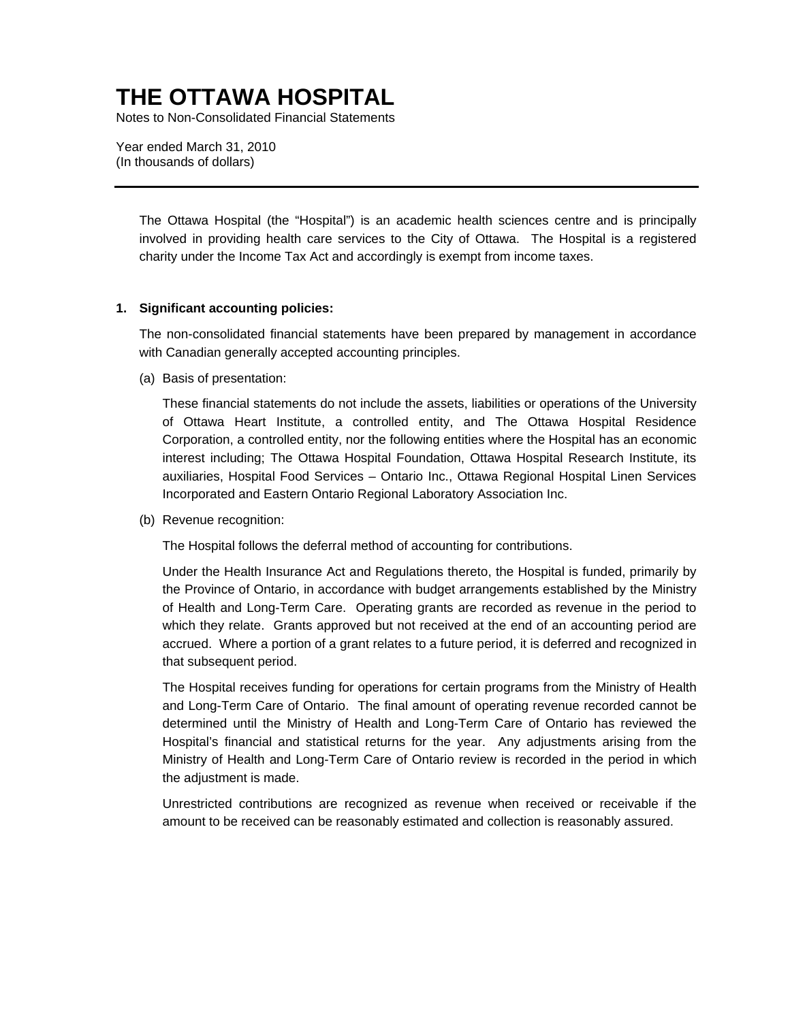Notes to Non-Consolidated Financial Statements

Year ended March 31, 2010 (In thousands of dollars)

> The Ottawa Hospital (the "Hospital") is an academic health sciences centre and is principally involved in providing health care services to the City of Ottawa. The Hospital is a registered charity under the Income Tax Act and accordingly is exempt from income taxes.

#### **1. Significant accounting policies:**

The non-consolidated financial statements have been prepared by management in accordance with Canadian generally accepted accounting principles.

(a) Basis of presentation:

These financial statements do not include the assets, liabilities or operations of the University of Ottawa Heart Institute, a controlled entity, and The Ottawa Hospital Residence Corporation, a controlled entity, nor the following entities where the Hospital has an economic interest including; The Ottawa Hospital Foundation, Ottawa Hospital Research Institute, its auxiliaries, Hospital Food Services – Ontario Inc., Ottawa Regional Hospital Linen Services Incorporated and Eastern Ontario Regional Laboratory Association Inc.

(b) Revenue recognition:

The Hospital follows the deferral method of accounting for contributions.

Under the Health Insurance Act and Regulations thereto, the Hospital is funded, primarily by the Province of Ontario, in accordance with budget arrangements established by the Ministry of Health and Long-Term Care. Operating grants are recorded as revenue in the period to which they relate. Grants approved but not received at the end of an accounting period are accrued. Where a portion of a grant relates to a future period, it is deferred and recognized in that subsequent period.

The Hospital receives funding for operations for certain programs from the Ministry of Health and Long-Term Care of Ontario. The final amount of operating revenue recorded cannot be determined until the Ministry of Health and Long-Term Care of Ontario has reviewed the Hospital's financial and statistical returns for the year. Any adjustments arising from the Ministry of Health and Long-Term Care of Ontario review is recorded in the period in which the adjustment is made.

Unrestricted contributions are recognized as revenue when received or receivable if the amount to be received can be reasonably estimated and collection is reasonably assured.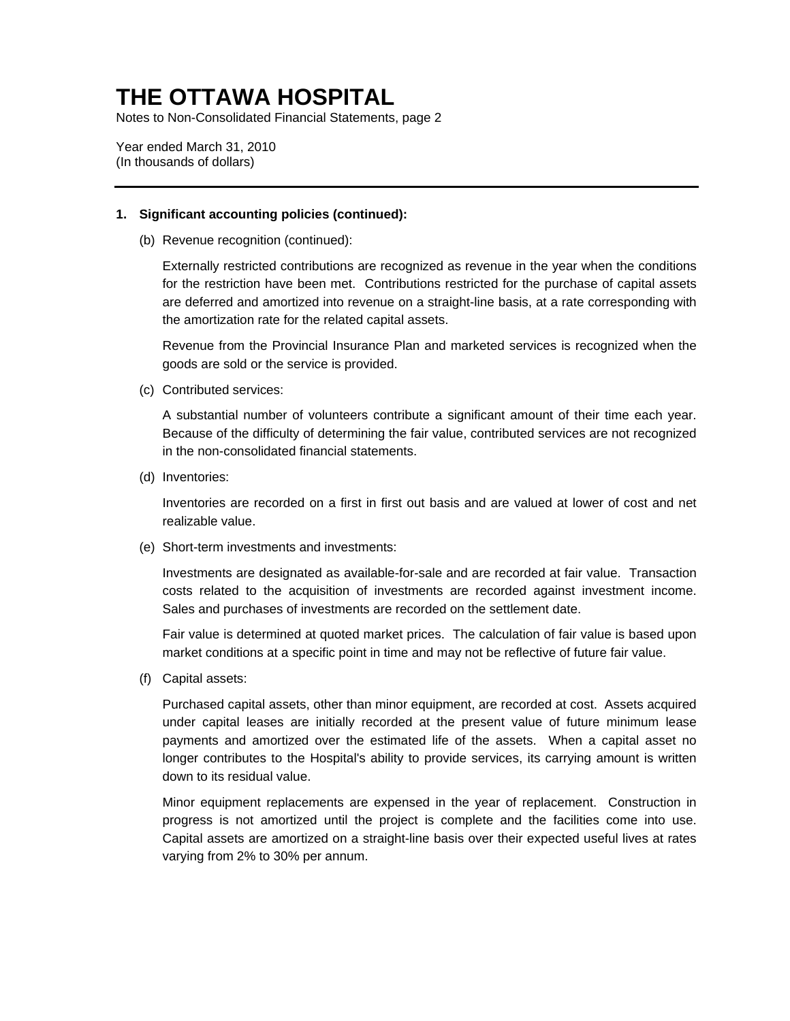Notes to Non-Consolidated Financial Statements, page 2

Year ended March 31, 2010 (In thousands of dollars)

### **1. Significant accounting policies (continued):**

(b) Revenue recognition (continued):

Externally restricted contributions are recognized as revenue in the year when the conditions for the restriction have been met. Contributions restricted for the purchase of capital assets are deferred and amortized into revenue on a straight-line basis, at a rate corresponding with the amortization rate for the related capital assets.

Revenue from the Provincial Insurance Plan and marketed services is recognized when the goods are sold or the service is provided.

(c) Contributed services:

A substantial number of volunteers contribute a significant amount of their time each year. Because of the difficulty of determining the fair value, contributed services are not recognized in the non-consolidated financial statements.

(d) Inventories:

Inventories are recorded on a first in first out basis and are valued at lower of cost and net realizable value.

(e) Short-term investments and investments:

Investments are designated as available-for-sale and are recorded at fair value. Transaction costs related to the acquisition of investments are recorded against investment income. Sales and purchases of investments are recorded on the settlement date.

Fair value is determined at quoted market prices. The calculation of fair value is based upon market conditions at a specific point in time and may not be reflective of future fair value.

(f) Capital assets:

Purchased capital assets, other than minor equipment, are recorded at cost. Assets acquired under capital leases are initially recorded at the present value of future minimum lease payments and amortized over the estimated life of the assets. When a capital asset no longer contributes to the Hospital's ability to provide services, its carrying amount is written down to its residual value.

Minor equipment replacements are expensed in the year of replacement. Construction in progress is not amortized until the project is complete and the facilities come into use. Capital assets are amortized on a straight-line basis over their expected useful lives at rates varying from 2% to 30% per annum.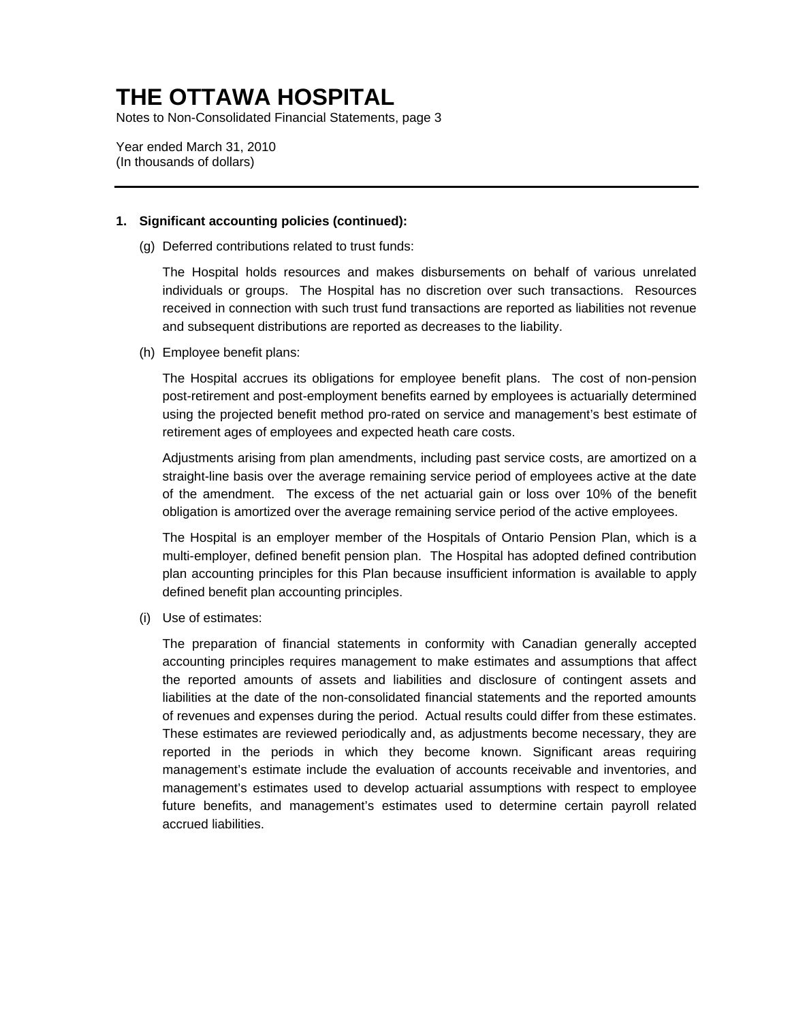Notes to Non-Consolidated Financial Statements, page 3

Year ended March 31, 2010 (In thousands of dollars)

### **1. Significant accounting policies (continued):**

(g) Deferred contributions related to trust funds:

The Hospital holds resources and makes disbursements on behalf of various unrelated individuals or groups. The Hospital has no discretion over such transactions. Resources received in connection with such trust fund transactions are reported as liabilities not revenue and subsequent distributions are reported as decreases to the liability.

(h) Employee benefit plans:

The Hospital accrues its obligations for employee benefit plans. The cost of non-pension post-retirement and post-employment benefits earned by employees is actuarially determined using the projected benefit method pro-rated on service and management's best estimate of retirement ages of employees and expected heath care costs.

Adjustments arising from plan amendments, including past service costs, are amortized on a straight-line basis over the average remaining service period of employees active at the date of the amendment. The excess of the net actuarial gain or loss over 10% of the benefit obligation is amortized over the average remaining service period of the active employees.

The Hospital is an employer member of the Hospitals of Ontario Pension Plan, which is a multi-employer, defined benefit pension plan. The Hospital has adopted defined contribution plan accounting principles for this Plan because insufficient information is available to apply defined benefit plan accounting principles.

(i) Use of estimates:

The preparation of financial statements in conformity with Canadian generally accepted accounting principles requires management to make estimates and assumptions that affect the reported amounts of assets and liabilities and disclosure of contingent assets and liabilities at the date of the non-consolidated financial statements and the reported amounts of revenues and expenses during the period. Actual results could differ from these estimates. These estimates are reviewed periodically and, as adjustments become necessary, they are reported in the periods in which they become known. Significant areas requiring management's estimate include the evaluation of accounts receivable and inventories, and management's estimates used to develop actuarial assumptions with respect to employee future benefits, and management's estimates used to determine certain payroll related accrued liabilities.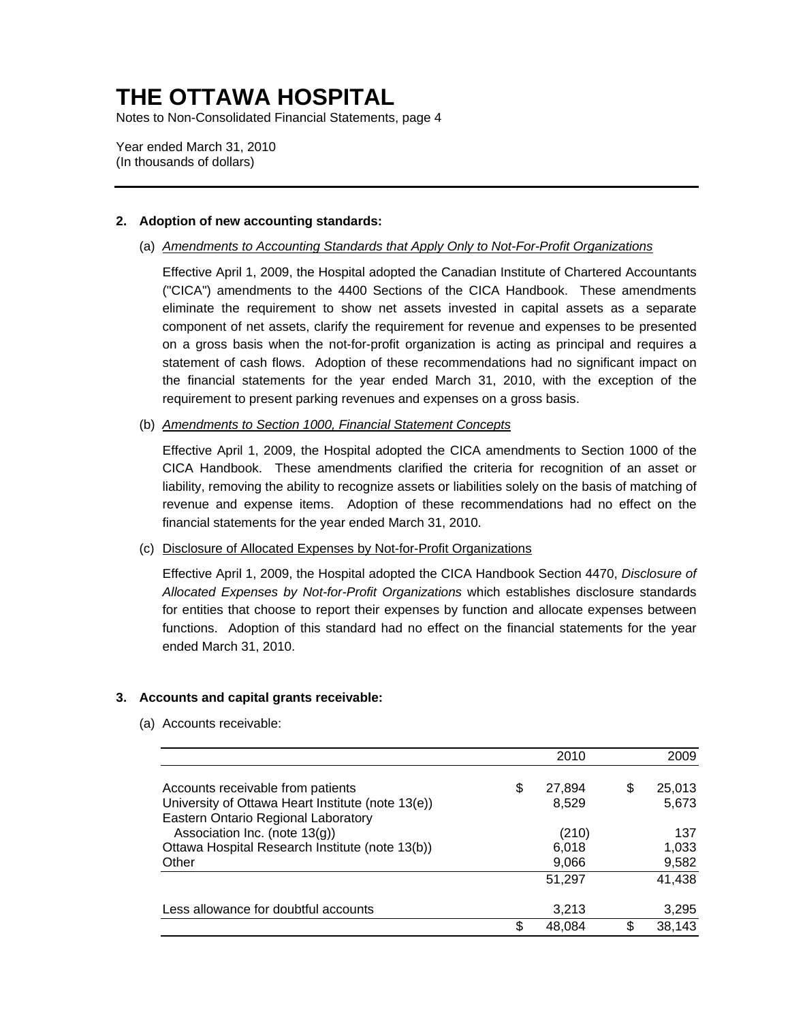Notes to Non-Consolidated Financial Statements, page 4

Year ended March 31, 2010 (In thousands of dollars)

### **2. Adoption of new accounting standards:**

(a) *Amendments to Accounting Standards that Apply Only to Not-For-Profit Organizations*

Effective April 1, 2009, the Hospital adopted the Canadian Institute of Chartered Accountants ("CICA") amendments to the 4400 Sections of the CICA Handbook. These amendments eliminate the requirement to show net assets invested in capital assets as a separate component of net assets, clarify the requirement for revenue and expenses to be presented on a gross basis when the not-for-profit organization is acting as principal and requires a statement of cash flows. Adoption of these recommendations had no significant impact on the financial statements for the year ended March 31, 2010, with the exception of the requirement to present parking revenues and expenses on a gross basis.

(b) *Amendments to Section 1000, Financial Statement Concepts*

Effective April 1, 2009, the Hospital adopted the CICA amendments to Section 1000 of the CICA Handbook. These amendments clarified the criteria for recognition of an asset or liability, removing the ability to recognize assets or liabilities solely on the basis of matching of revenue and expense items. Adoption of these recommendations had no effect on the financial statements for the year ended March 31, 2010.

### (c) Disclosure of Allocated Expenses by Not-for-Profit Organizations

Effective April 1, 2009, the Hospital adopted the CICA Handbook Section 4470, *Disclosure of Allocated Expenses by Not-for-Profit Organizations* which establishes disclosure standards for entities that choose to report their expenses by function and allocate expenses between functions. Adoption of this standard had no effect on the financial statements for the year ended March 31, 2010.

### **3. Accounts and capital grants receivable:**

(a) Accounts receivable:

|                                                                                                                                  |     | 2010                    |   | 2009                  |
|----------------------------------------------------------------------------------------------------------------------------------|-----|-------------------------|---|-----------------------|
| Accounts receivable from patients<br>University of Ottawa Heart Institute (note 13(e))                                           | \$  | 27,894<br>8,529         | S | 25,013<br>5,673       |
| Eastern Ontario Regional Laboratory<br>Association Inc. (note 13(g))<br>Ottawa Hospital Research Institute (note 13(b))<br>Other |     | (210)<br>6,018<br>9,066 |   | 137<br>1,033<br>9,582 |
|                                                                                                                                  |     | 51,297                  |   | 41,438                |
| Less allowance for doubtful accounts                                                                                             |     | 3,213                   |   | 3,295                 |
|                                                                                                                                  | \$. | 48,084                  |   | 38,143                |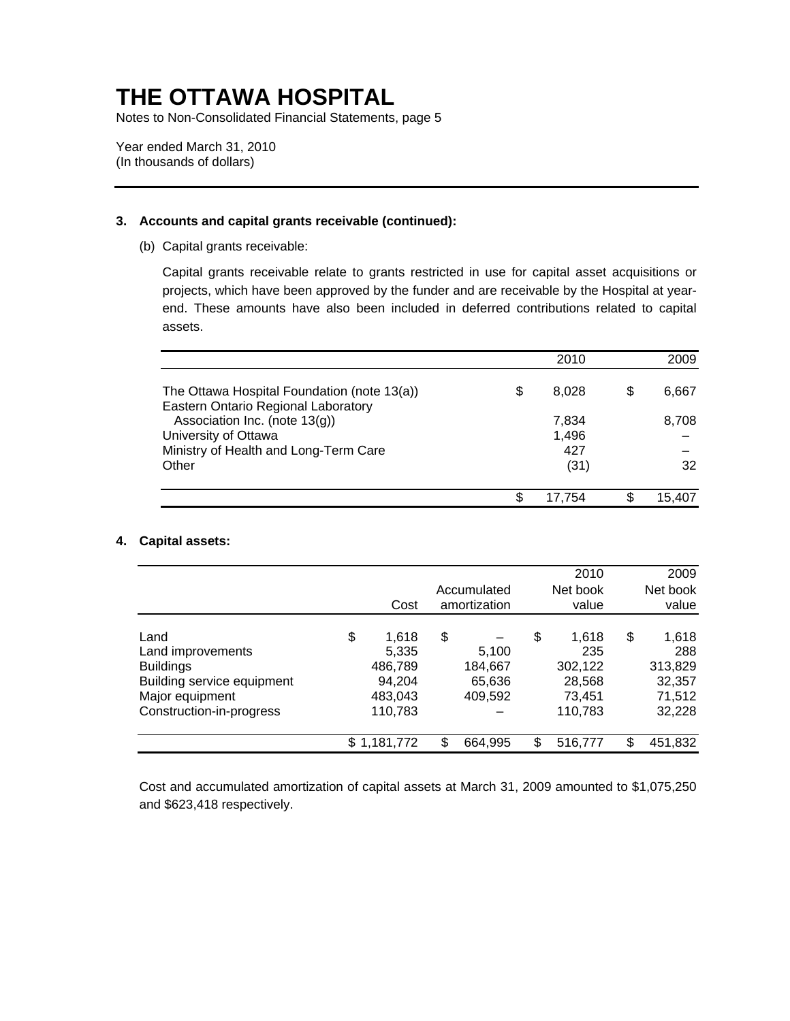Notes to Non-Consolidated Financial Statements, page 5

Year ended March 31, 2010 (In thousands of dollars)

### **3. Accounts and capital grants receivable (continued):**

(b) Capital grants receivable:

Capital grants receivable relate to grants restricted in use for capital asset acquisitions or projects, which have been approved by the funder and are receivable by the Hospital at yearend. These amounts have also been included in deferred contributions related to capital assets.

|                                                                                    |    | 2010           | 2009   |
|------------------------------------------------------------------------------------|----|----------------|--------|
| The Ottawa Hospital Foundation (note 13(a))<br>Eastern Ontario Regional Laboratory | \$ | 8,028          | 6,667  |
| Association Inc. (note 13(g))<br>University of Ottawa                              |    | 7,834<br>1,496 | 8,708  |
| Ministry of Health and Long-Term Care                                              |    | 427            |        |
| Other                                                                              |    | (31)           | 32     |
|                                                                                    | S. | 17.754         | 15.407 |

### **4. Capital assets:**

|                            |             |     |              | 2010          | 2009          |
|----------------------------|-------------|-----|--------------|---------------|---------------|
|                            |             |     | Accumulated  | Net book      | Net book      |
|                            | Cost        |     | amortization | value         | value         |
| Land                       | \$<br>1,618 | \$  |              | \$<br>1,618   | \$<br>1,618   |
| Land improvements          | 5,335       |     | 5,100        | 235           | 288           |
| <b>Buildings</b>           | 486,789     |     | 184,667      | 302,122       | 313,829       |
| Building service equipment | 94,204      |     | 65,636       | 28,568        | 32,357        |
| Major equipment            | 483,043     |     | 409,592      | 73.451        | 71,512        |
| Construction-in-progress   | 110,783     |     |              | 110,783       | 32,228        |
|                            | \$1,181,772 | \$. | 664,995      | \$<br>516,777 | \$<br>451,832 |

Cost and accumulated amortization of capital assets at March 31, 2009 amounted to \$1,075,250 and \$623,418 respectively.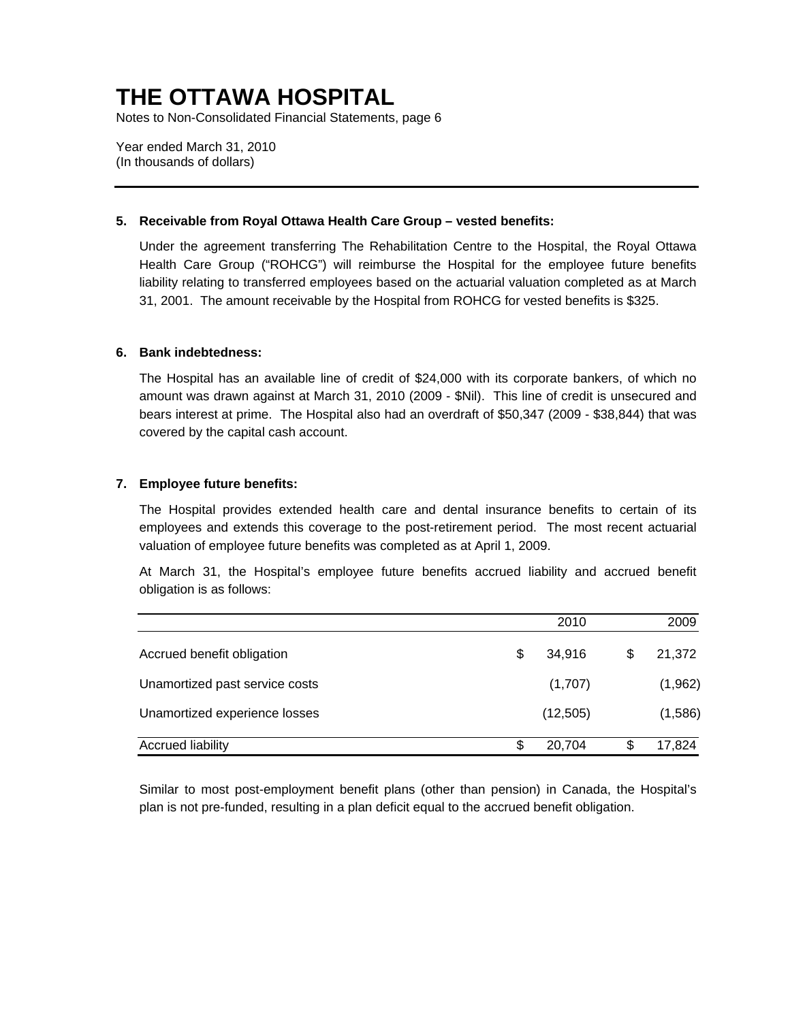Notes to Non-Consolidated Financial Statements, page 6

Year ended March 31, 2010 (In thousands of dollars)

#### **5. Receivable from Royal Ottawa Health Care Group – vested benefits:**

Under the agreement transferring The Rehabilitation Centre to the Hospital, the Royal Ottawa Health Care Group ("ROHCG") will reimburse the Hospital for the employee future benefits liability relating to transferred employees based on the actuarial valuation completed as at March 31, 2001. The amount receivable by the Hospital from ROHCG for vested benefits is \$325.

#### **6. Bank indebtedness:**

The Hospital has an available line of credit of \$24,000 with its corporate bankers, of which no amount was drawn against at March 31, 2010 (2009 - \$Nil). This line of credit is unsecured and bears interest at prime. The Hospital also had an overdraft of \$50,347 (2009 - \$38,844) that was covered by the capital cash account.

#### **7. Employee future benefits:**

The Hospital provides extended health care and dental insurance benefits to certain of its employees and extends this coverage to the post-retirement period. The most recent actuarial valuation of employee future benefits was completed as at April 1, 2009.

At March 31, the Hospital's employee future benefits accrued liability and accrued benefit obligation is as follows:

|                                |    | 2010      | 2009         |
|--------------------------------|----|-----------|--------------|
| Accrued benefit obligation     | \$ | 34.916    | \$<br>21,372 |
| Unamortized past service costs |    | (1,707)   | (1,962)      |
| Unamortized experience losses  |    | (12, 505) | (1,586)      |
| <b>Accrued liability</b>       | S  | 20,704    | 17,824       |

Similar to most post-employment benefit plans (other than pension) in Canada, the Hospital's plan is not pre-funded, resulting in a plan deficit equal to the accrued benefit obligation.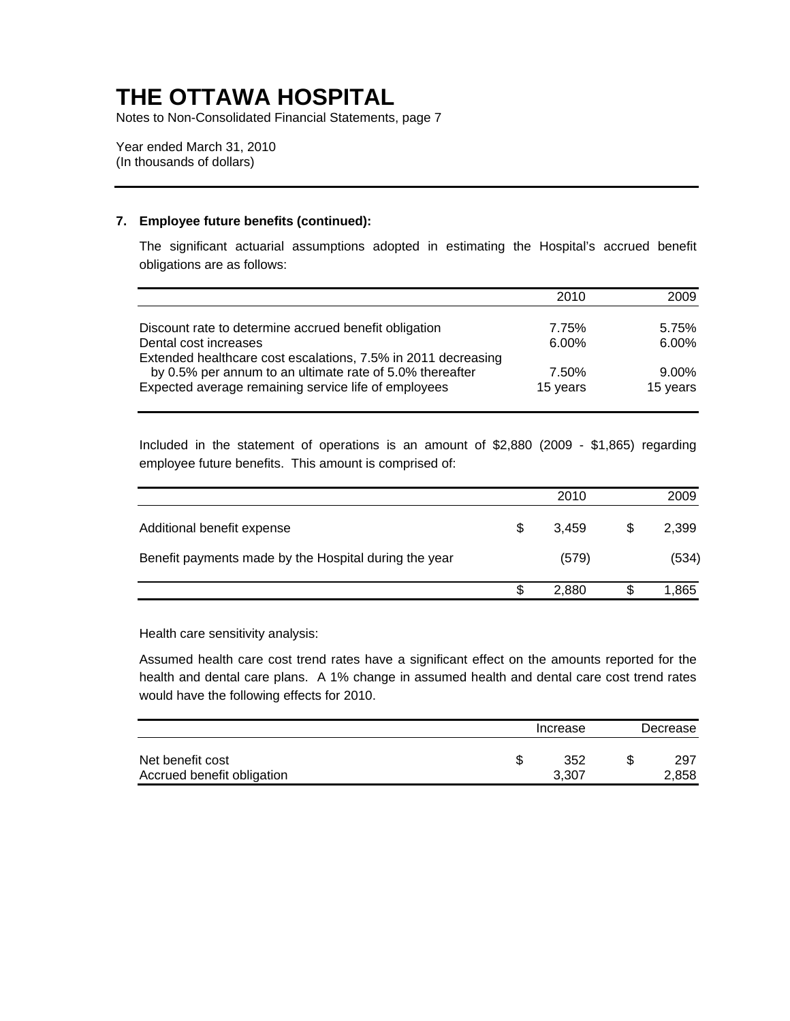Notes to Non-Consolidated Financial Statements, page 7

Year ended March 31, 2010 (In thousands of dollars)

### **7. Employee future benefits (continued):**

The significant actuarial assumptions adopted in estimating the Hospital's accrued benefit obligations are as follows:

|                                                               | 2010     | 2009     |
|---------------------------------------------------------------|----------|----------|
|                                                               |          |          |
| Discount rate to determine accrued benefit obligation         | 7.75%    | 5.75%    |
| Dental cost increases                                         | $6.00\%$ | $6.00\%$ |
| Extended healthcare cost escalations, 7.5% in 2011 decreasing |          |          |
| by 0.5% per annum to an ultimate rate of 5.0% thereafter      | 7.50%    | 9.00%    |
| Expected average remaining service life of employees          | 15 years | 15 years |

Included in the statement of operations is an amount of \$2,880 (2009 - \$1,865) regarding employee future benefits. This amount is comprised of:

|                                                       |    | 2010  | 2009  |
|-------------------------------------------------------|----|-------|-------|
| Additional benefit expense                            | \$ | 3.459 | 2,399 |
| Benefit payments made by the Hospital during the year |    | (579) | (534) |
|                                                       | S  | 2,880 | 1,865 |

Health care sensitivity analysis:

Assumed health care cost trend rates have a significant effect on the amounts reported for the health and dental care plans. A 1% change in assumed health and dental care cost trend rates would have the following effects for 2010.

|                                                | Increase     | Decrease |              |  |
|------------------------------------------------|--------------|----------|--------------|--|
| Net benefit cost<br>Accrued benefit obligation | 352<br>3.307 |          | 297<br>2,858 |  |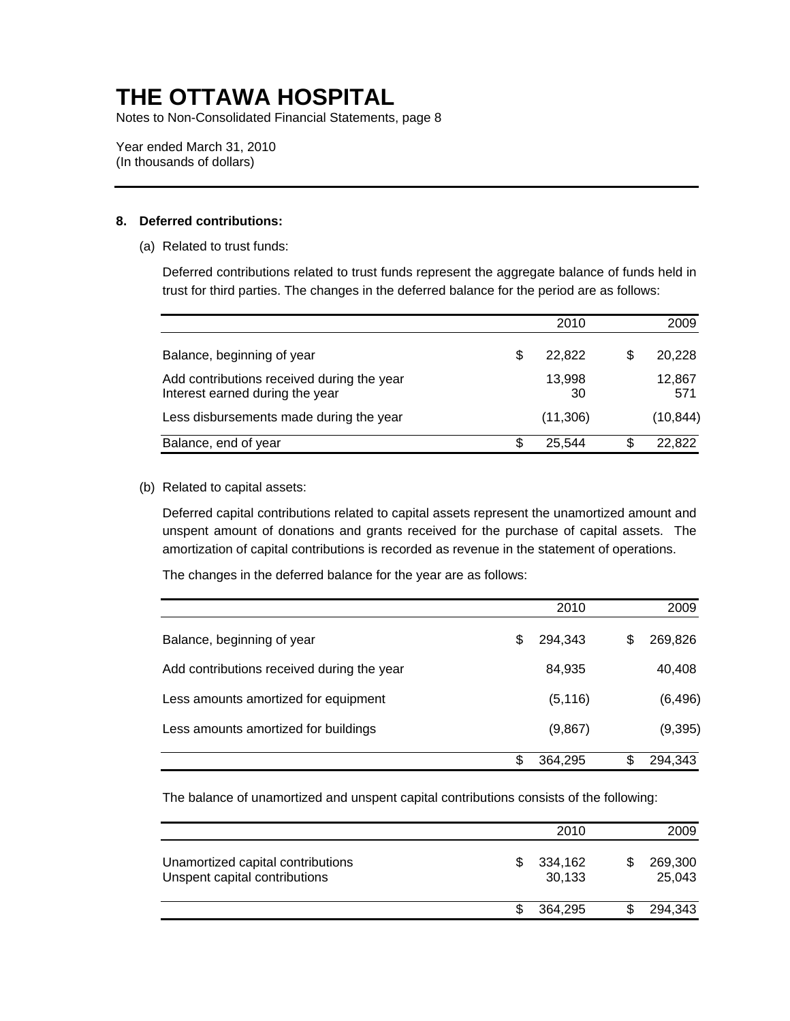Notes to Non-Consolidated Financial Statements, page 8

Year ended March 31, 2010 (In thousands of dollars)

### **8. Deferred contributions:**

(a) Related to trust funds:

Deferred contributions related to trust funds represent the aggregate balance of funds held in trust for third parties. The changes in the deferred balance for the period are as follows:

|                                                                               | 2010         |   | 2009          |
|-------------------------------------------------------------------------------|--------------|---|---------------|
| Balance, beginning of year                                                    | 22.822       |   | 20,228        |
| Add contributions received during the year<br>Interest earned during the year | 13,998<br>30 |   | 12,867<br>571 |
| Less disbursements made during the year                                       | (11,306)     |   | (10, 844)     |
| Balance, end of year                                                          | \$<br>25.544 | S | 22,822        |

### (b) Related to capital assets:

Deferred capital contributions related to capital assets represent the unamortized amount and unspent amount of donations and grants received for the purchase of capital assets. The amortization of capital contributions is recorded as revenue in the statement of operations.

The changes in the deferred balance for the year are as follows:

|                                            |   | 2010     |   | 2009     |
|--------------------------------------------|---|----------|---|----------|
| Balance, beginning of year                 | S | 294.343  | S | 269,826  |
| Add contributions received during the year |   | 84,935   |   | 40,408   |
| Less amounts amortized for equipment       |   | (5, 116) |   | (6, 496) |
| Less amounts amortized for buildings       |   | (9,867)  |   | (9, 395) |
|                                            |   | 364,295  |   | 294,343  |

The balance of unamortized and unspent capital contributions consists of the following:

|                                                                    |   | 2010              | 2009              |
|--------------------------------------------------------------------|---|-------------------|-------------------|
| Unamortized capital contributions<br>Unspent capital contributions | S | 334,162<br>30,133 | 269,300<br>25,043 |
|                                                                    |   | 364.295           | 294,343           |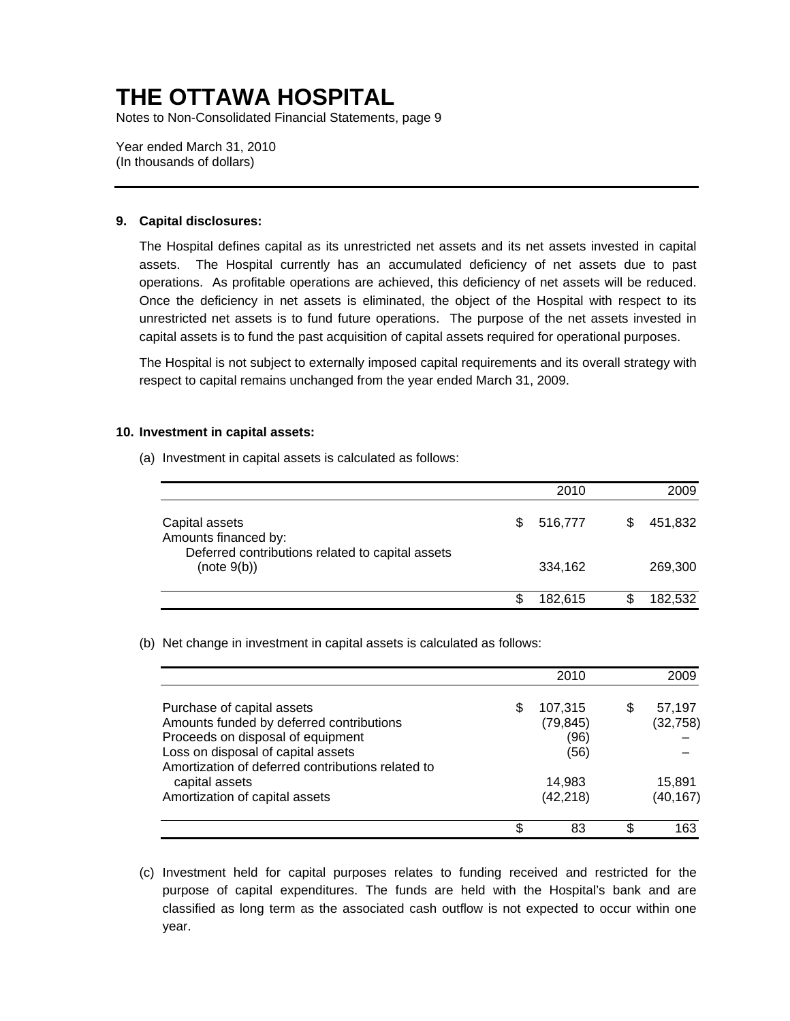Notes to Non-Consolidated Financial Statements, page 9

Year ended March 31, 2010 (In thousands of dollars)

#### **9. Capital disclosures:**

The Hospital defines capital as its unrestricted net assets and its net assets invested in capital assets. The Hospital currently has an accumulated deficiency of net assets due to past operations. As profitable operations are achieved, this deficiency of net assets will be reduced. Once the deficiency in net assets is eliminated, the object of the Hospital with respect to its unrestricted net assets is to fund future operations. The purpose of the net assets invested in capital assets is to fund the past acquisition of capital assets required for operational purposes.

The Hospital is not subject to externally imposed capital requirements and its overall strategy with respect to capital remains unchanged from the year ended March 31, 2009.

#### **10. Investment in capital assets:**

(a) Investment in capital assets is calculated as follows:

|                                                                 |   | 2010    | 2009    |
|-----------------------------------------------------------------|---|---------|---------|
| Capital assets<br>Amounts financed by:                          | S | 516,777 | 451,832 |
| Deferred contributions related to capital assets<br>(note 9(b)) |   | 334,162 | 269,300 |
|                                                                 |   | 182.615 | 182,532 |

(b) Net change in investment in capital assets is calculated as follows:

|                                                                                                                                                                                                        | 2010                                       |   | 2009                |
|--------------------------------------------------------------------------------------------------------------------------------------------------------------------------------------------------------|--------------------------------------------|---|---------------------|
| Purchase of capital assets<br>Amounts funded by deferred contributions<br>Proceeds on disposal of equipment<br>Loss on disposal of capital assets<br>Amortization of deferred contributions related to | \$<br>107,315<br>(79, 845)<br>(96)<br>(56) | S | 57,197<br>(32, 758) |
| capital assets<br>Amortization of capital assets                                                                                                                                                       | 14,983<br>(42, 218)                        |   | 15.891<br>(40, 167) |
|                                                                                                                                                                                                        | 83                                         |   | 163                 |

(c) Investment held for capital purposes relates to funding received and restricted for the purpose of capital expenditures. The funds are held with the Hospital's bank and are classified as long term as the associated cash outflow is not expected to occur within one year.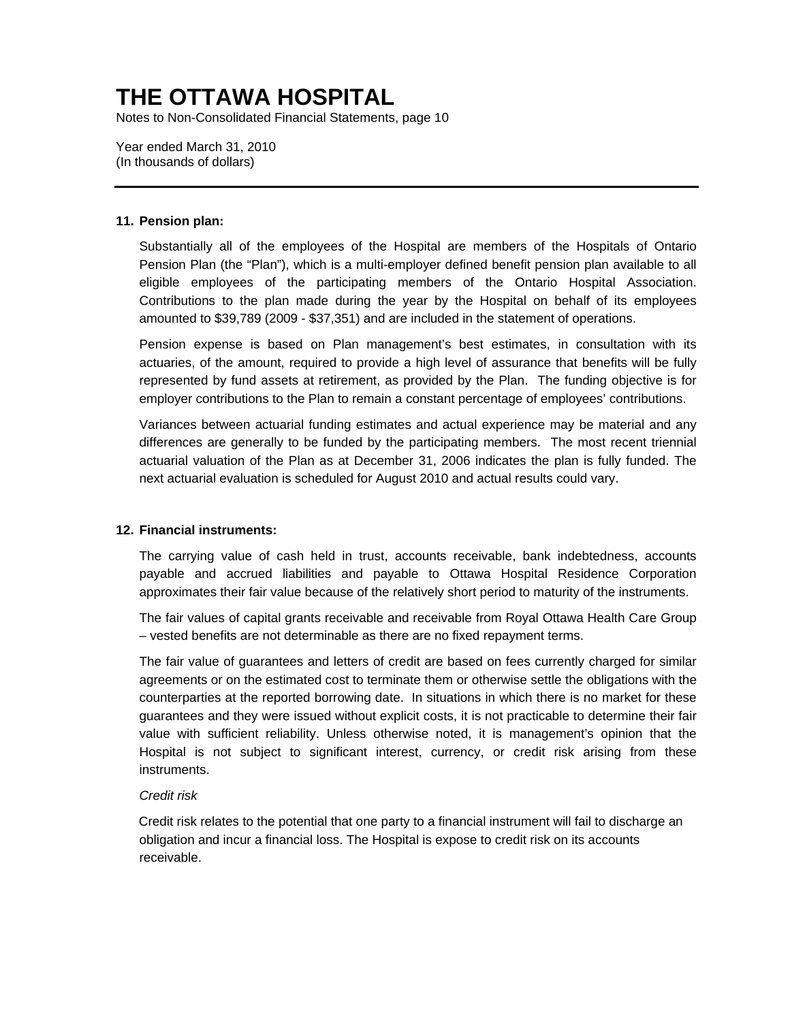Notes to Non-Consolidated Financial Statements, page 10

Year ended March 31, 2010 (In thousands of dollars)

#### **11. Pension plan:**

Substantially all of the employees of the Hospital are members of the Hospitals of Ontario Pension Plan (the "Plan"), which is a multi-employer defined benefit pension plan available to all eligible employees of the participating members of the Ontario Hospital Association. Contributions to the plan made during the year by the Hospital on behalf of its employees amounted to \$39,789 (2009 - \$37,351) and are included in the statement of operations.

Pension expense is based on Plan management's best estimates, in consultation with its actuaries, of the amount, required to provide a high level of assurance that benefits will be fully represented by fund assets at retirement, as provided by the Plan. The funding objective is for employer contributions to the Plan to remain a constant percentage of employees' contributions.

Variances between actuarial funding estimates and actual experience may be material and any differences are generally to be funded by the participating members. The most recent triennial actuarial valuation of the Plan as at December 31, 2006 indicates the plan is fully funded. The next actuarial evaluation is scheduled for August 2010 and actual results could vary.

### **12. Financial instruments:**

The carrying value of cash held in trust, accounts receivable, bank indebtedness, accounts payable and accrued liabilities and payable to Ottawa Hospital Residence Corporation approximates their fair value because of the relatively short period to maturity of the instruments.

The fair values of capital grants receivable and receivable from Royal Ottawa Health Care Group – vested benefits are not determinable as there are no fixed repayment terms.

The fair value of guarantees and letters of credit are based on fees currently charged for similar agreements or on the estimated cost to terminate them or otherwise settle the obligations with the counterparties at the reported borrowing date. In situations in which there is no market for these guarantees and they were issued without explicit costs, it is not practicable to determine their fair value with sufficient reliability. Unless otherwise noted, it is management's opinion that the Hospital is not subject to significant interest, currency, or credit risk arising from these instruments.

### *Credit risk*

Credit risk relates to the potential that one party to a financial instrument will fail to discharge an obligation and incur a financial loss. The Hospital is expose to credit risk on its accounts receivable.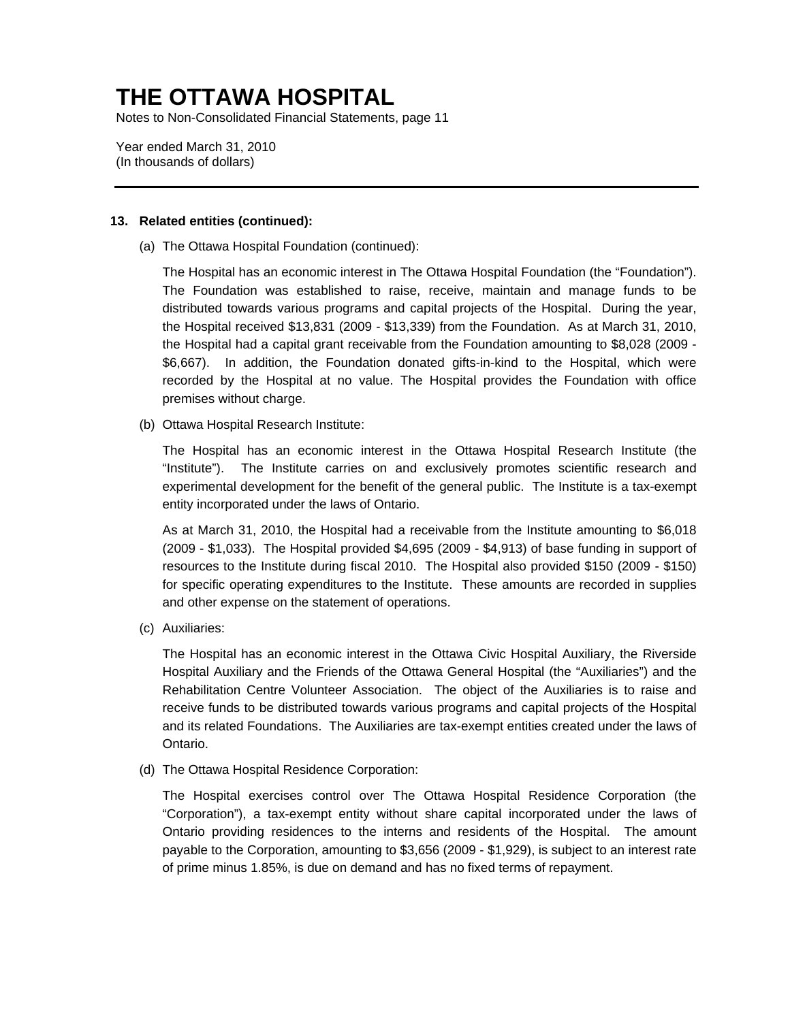Notes to Non-Consolidated Financial Statements, page 11

Year ended March 31, 2010 (In thousands of dollars)

#### **13. Related entities (continued):**

(a) The Ottawa Hospital Foundation (continued):

The Hospital has an economic interest in The Ottawa Hospital Foundation (the "Foundation"). The Foundation was established to raise, receive, maintain and manage funds to be distributed towards various programs and capital projects of the Hospital. During the year, the Hospital received \$13,831 (2009 - \$13,339) from the Foundation. As at March 31, 2010, the Hospital had a capital grant receivable from the Foundation amounting to \$8,028 (2009 - \$6,667). In addition, the Foundation donated gifts-in-kind to the Hospital, which were recorded by the Hospital at no value. The Hospital provides the Foundation with office premises without charge.

(b) Ottawa Hospital Research Institute:

The Hospital has an economic interest in the Ottawa Hospital Research Institute (the "Institute"). The Institute carries on and exclusively promotes scientific research and experimental development for the benefit of the general public. The Institute is a tax-exempt entity incorporated under the laws of Ontario.

As at March 31, 2010, the Hospital had a receivable from the Institute amounting to \$6,018 (2009 - \$1,033). The Hospital provided \$4,695 (2009 - \$4,913) of base funding in support of resources to the Institute during fiscal 2010. The Hospital also provided \$150 (2009 - \$150) for specific operating expenditures to the Institute. These amounts are recorded in supplies and other expense on the statement of operations.

(c) Auxiliaries:

The Hospital has an economic interest in the Ottawa Civic Hospital Auxiliary, the Riverside Hospital Auxiliary and the Friends of the Ottawa General Hospital (the "Auxiliaries") and the Rehabilitation Centre Volunteer Association. The object of the Auxiliaries is to raise and receive funds to be distributed towards various programs and capital projects of the Hospital and its related Foundations. The Auxiliaries are tax-exempt entities created under the laws of Ontario.

(d) The Ottawa Hospital Residence Corporation:

The Hospital exercises control over The Ottawa Hospital Residence Corporation (the "Corporation"), a tax-exempt entity without share capital incorporated under the laws of Ontario providing residences to the interns and residents of the Hospital. The amount payable to the Corporation, amounting to \$3,656 (2009 - \$1,929), is subject to an interest rate of prime minus 1.85%, is due on demand and has no fixed terms of repayment.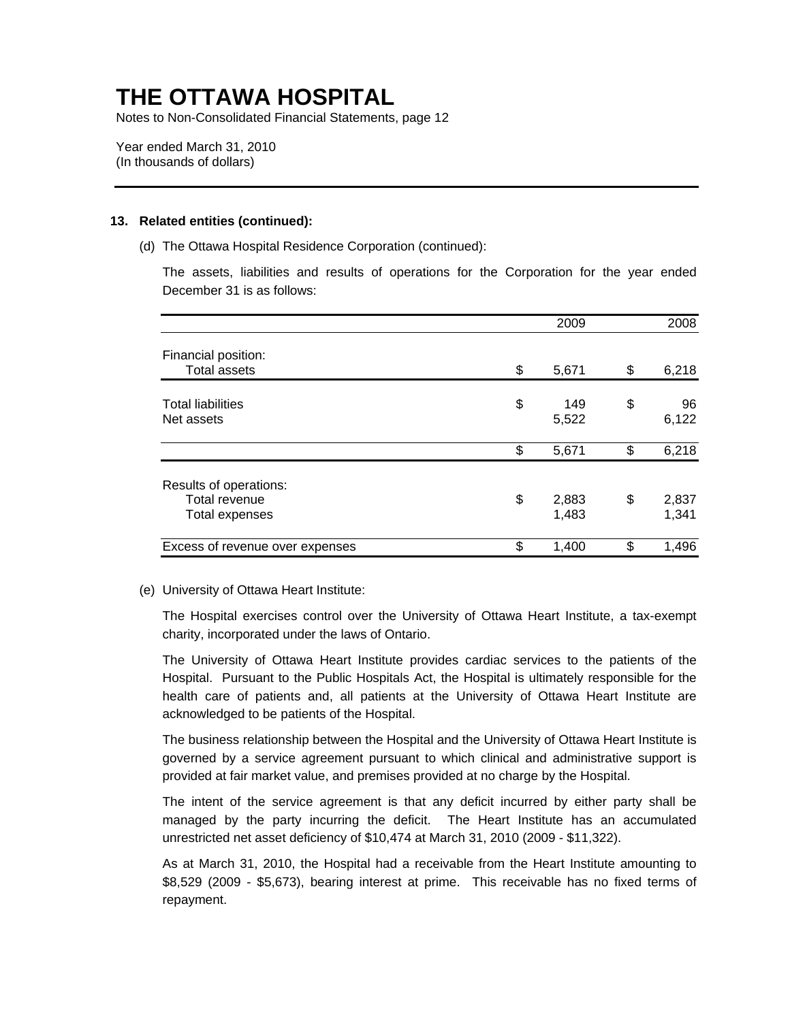Notes to Non-Consolidated Financial Statements, page 12

Year ended March 31, 2010 (In thousands of dollars)

#### **13. Related entities (continued):**

(d) The Ottawa Hospital Residence Corporation (continued):

The assets, liabilities and results of operations for the Corporation for the year ended December 31 is as follows:

|                                                                  | 2009                 | 2008                 |
|------------------------------------------------------------------|----------------------|----------------------|
| Financial position:                                              |                      |                      |
| <b>Total assets</b>                                              | \$<br>5,671          | \$<br>6,218          |
| <b>Total liabilities</b><br>Net assets                           | \$<br>149<br>5,522   | \$<br>96<br>6,122    |
|                                                                  | \$<br>5,671          | \$<br>6,218          |
| Results of operations:<br>Total revenue<br><b>Total expenses</b> | \$<br>2,883<br>1,483 | \$<br>2,837<br>1,341 |
| Excess of revenue over expenses                                  | \$<br>1,400          | \$<br>1,496          |

#### (e) University of Ottawa Heart Institute:

The Hospital exercises control over the University of Ottawa Heart Institute, a tax-exempt charity, incorporated under the laws of Ontario.

The University of Ottawa Heart Institute provides cardiac services to the patients of the Hospital. Pursuant to the Public Hospitals Act, the Hospital is ultimately responsible for the health care of patients and, all patients at the University of Ottawa Heart Institute are acknowledged to be patients of the Hospital.

The business relationship between the Hospital and the University of Ottawa Heart Institute is governed by a service agreement pursuant to which clinical and administrative support is provided at fair market value, and premises provided at no charge by the Hospital.

The intent of the service agreement is that any deficit incurred by either party shall be managed by the party incurring the deficit. The Heart Institute has an accumulated unrestricted net asset deficiency of \$10,474 at March 31, 2010 (2009 - \$11,322).

As at March 31, 2010, the Hospital had a receivable from the Heart Institute amounting to \$8,529 (2009 - \$5,673), bearing interest at prime. This receivable has no fixed terms of repayment.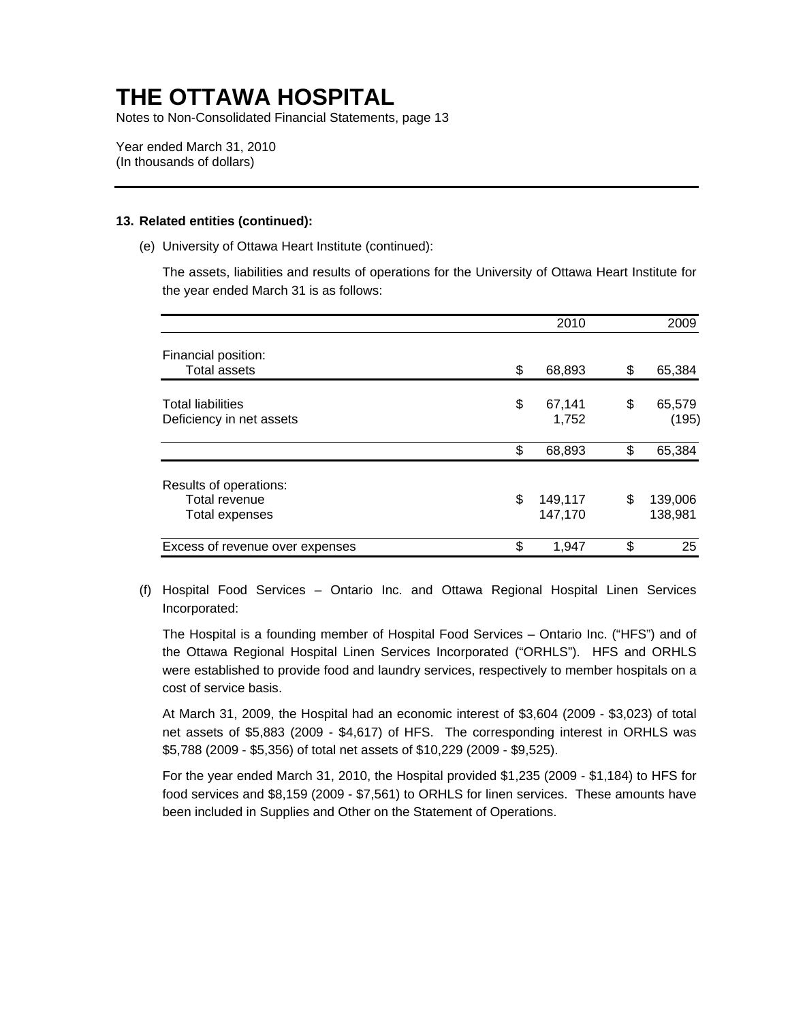Notes to Non-Consolidated Financial Statements, page 13

Year ended March 31, 2010 (In thousands of dollars)

#### **13. Related entities (continued):**

(e) University of Ottawa Heart Institute (continued):

The assets, liabilities and results of operations for the University of Ottawa Heart Institute for the year ended March 31 is as follows:

|                                                                  | 2010                     | 2009                     |
|------------------------------------------------------------------|--------------------------|--------------------------|
| Financial position:                                              |                          |                          |
| <b>Total assets</b>                                              | \$<br>68,893             | \$<br>65,384             |
| <b>Total liabilities</b><br>Deficiency in net assets             | \$<br>67,141<br>1,752    | \$<br>65,579<br>(195)    |
|                                                                  | \$<br>68,893             | \$<br>65,384             |
| Results of operations:<br>Total revenue<br><b>Total expenses</b> | \$<br>149,117<br>147,170 | \$<br>139,006<br>138,981 |
| Excess of revenue over expenses                                  | \$<br>1,947              | \$<br>25                 |

(f) Hospital Food Services – Ontario Inc. and Ottawa Regional Hospital Linen Services Incorporated:

The Hospital is a founding member of Hospital Food Services – Ontario Inc. ("HFS") and of the Ottawa Regional Hospital Linen Services Incorporated ("ORHLS"). HFS and ORHLS were established to provide food and laundry services, respectively to member hospitals on a cost of service basis.

At March 31, 2009, the Hospital had an economic interest of \$3,604 (2009 - \$3,023) of total net assets of \$5,883 (2009 - \$4,617) of HFS. The corresponding interest in ORHLS was \$5,788 (2009 - \$5,356) of total net assets of \$10,229 (2009 - \$9,525).

For the year ended March 31, 2010, the Hospital provided \$1,235 (2009 - \$1,184) to HFS for food services and \$8,159 (2009 - \$7,561) to ORHLS for linen services. These amounts have been included in Supplies and Other on the Statement of Operations.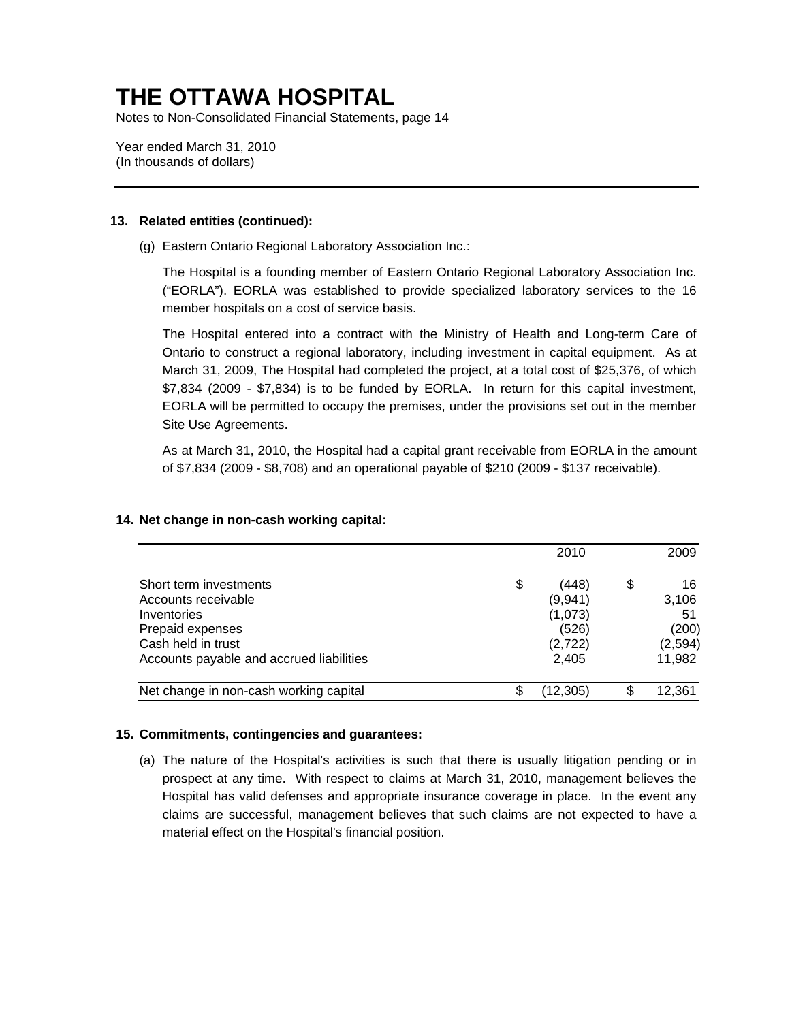Notes to Non-Consolidated Financial Statements, page 14

Year ended March 31, 2010 (In thousands of dollars)

### **13. Related entities (continued):**

(g) Eastern Ontario Regional Laboratory Association Inc.:

The Hospital is a founding member of Eastern Ontario Regional Laboratory Association Inc. ("EORLA"). EORLA was established to provide specialized laboratory services to the 16 member hospitals on a cost of service basis.

The Hospital entered into a contract with the Ministry of Health and Long-term Care of Ontario to construct a regional laboratory, including investment in capital equipment. As at March 31, 2009, The Hospital had completed the project, at a total cost of \$25,376, of which \$7,834 (2009 - \$7,834) is to be funded by EORLA. In return for this capital investment, EORLA will be permitted to occupy the premises, under the provisions set out in the member Site Use Agreements.

As at March 31, 2010, the Hospital had a capital grant receivable from EORLA in the amount of \$7,834 (2009 - \$8,708) and an operational payable of \$210 (2009 - \$137 receivable).

|                                          | 2010        | 2009     |
|------------------------------------------|-------------|----------|
| Short term investments                   | \$<br>(448) | \$<br>16 |
| Accounts receivable                      | (9,941)     | 3,106    |
| Inventories                              | (1,073)     | 51       |
| Prepaid expenses                         | (526)       | (200)    |
| Cash held in trust                       | (2, 722)    | (2, 594) |
| Accounts payable and accrued liabilities | 2,405       | 11,982   |
| Net change in non-cash working capital   | (12, 305)   | 12,361   |

### **14. Net change in non-cash working capital:**

### **15. Commitments, contingencies and guarantees:**

(a) The nature of the Hospital's activities is such that there is usually litigation pending or in prospect at any time. With respect to claims at March 31, 2010, management believes the Hospital has valid defenses and appropriate insurance coverage in place. In the event any claims are successful, management believes that such claims are not expected to have a material effect on the Hospital's financial position.